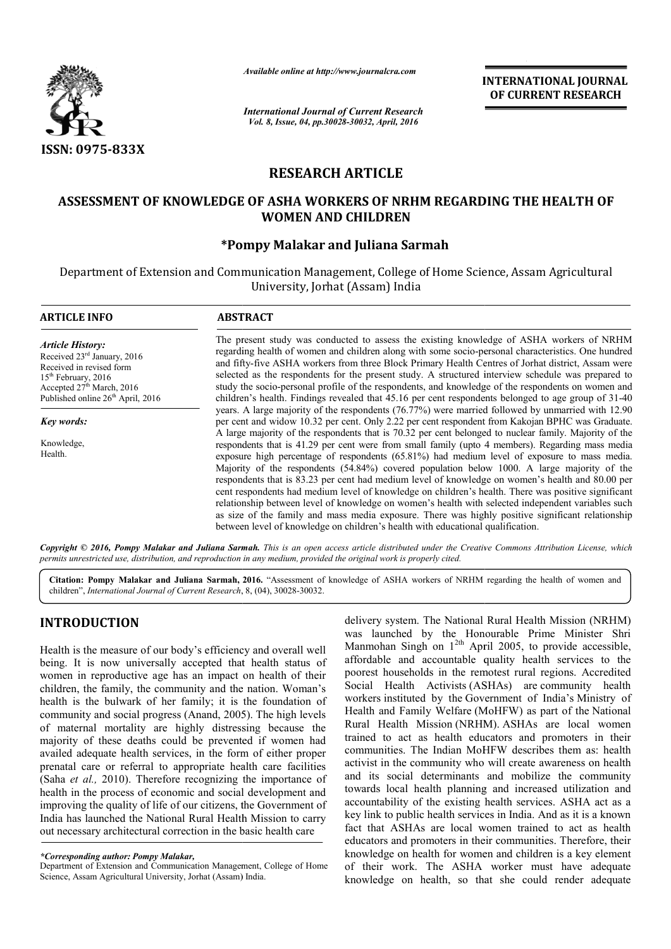

*Available online at http://www.journalcra.com*

*International Journal of Current Research Vol. 8, Issue, 04, pp.30028-30032, April, 2016*

**INTERNATIONAL JOURNAL OF CURRENT RESEARCH** 

# **RESEARCH ARTICLE**

# **ASSESSMENT OF KNOWLEDGE OF ASHA WORKERS OF NRHM REGARDING THE HEALTH OF ASSESSMENT OF ASHA WORKERS OF WOMEN AND CHILDREN**

# **\*Pompy Malakar and Juliana Sarmah**

Department of Extension and Communication Management, College of Home Science, Assam Agricultural University, Jorhat (Assam) India

| <b>ARTICLE INFO</b>                                                                                                                                                                                               | <b>ABSTRACT</b>                                                                                                                                                                                                                                                                                                                                                                                                                                                                                                                                                                                                                                                                                                                                                                                                                                                                                                    |
|-------------------------------------------------------------------------------------------------------------------------------------------------------------------------------------------------------------------|--------------------------------------------------------------------------------------------------------------------------------------------------------------------------------------------------------------------------------------------------------------------------------------------------------------------------------------------------------------------------------------------------------------------------------------------------------------------------------------------------------------------------------------------------------------------------------------------------------------------------------------------------------------------------------------------------------------------------------------------------------------------------------------------------------------------------------------------------------------------------------------------------------------------|
| <b>Article History:</b><br>Received 23 <sup>rd</sup> January, 2016<br>Received in revised form<br>$15th$ February, 2016<br>Accepted 27 <sup>th</sup> March, 2016<br>Published online 26 <sup>th</sup> April, 2016 | The present study was conducted to assess the existing knowledge of ASHA workers of NRHM<br>regarding health of women and children along with some socio-personal characteristics. One hundred<br>and fifty-five ASHA workers from three Block Primary Health Centres of Jornat district, Assam were<br>selected as the respondents for the present study. A structured interview schedule was prepared to<br>study the socio-personal profile of the respondents, and knowledge of the respondents on women and<br>children's health. Findings revealed that 45.16 per cent respondents belonged to age group of 31-40                                                                                                                                                                                                                                                                                            |
| Key words:                                                                                                                                                                                                        | years. A large majority of the respondents (76.77%) were married followed by unmarried with 12.90<br>per cent and widow 10.32 per cent. Only 2.22 per cent respondent from Kakojan BPHC was Graduate.                                                                                                                                                                                                                                                                                                                                                                                                                                                                                                                                                                                                                                                                                                              |
| Knowledge,<br>Health.                                                                                                                                                                                             | A large majority of the respondents that is 70.32 per cent belonged to nuclear family. Majority of the<br>respondents that is 41.29 per cent were from small family (upto 4 members). Regarding mass media<br>exposure high percentage of respondents (65.81%) had medium level of exposure to mass media.<br>Majority of the respondents (54.84%) covered population below 1000. A large majority of the<br>respondents that is 83.23 per cent had medium level of knowledge on women's health and 80.00 per<br>cent respondents had medium level of knowledge on children's health. There was positive significant<br>relationship between level of knowledge on women's health with selected independent variables such<br>as size of the family and mass media exposure. There was highly positive significant relationship<br>between level of knowledge on children's health with educational qualification. |

Copyright © 2016, Pompy Malakar and Juliana Sarmah. This is an open access article distributed under the Creative Commons Attribution License, which *permits unrestricted use, distribution, and reproduction in any medium, provided the original work is properly cited.*

Citation: Pompy Malakar and Juliana Sarmah, 2016. "Assessment of knowledge of ASHA workers of NRHM regarding the health of women and children", *International Journal of Current Research*, 8, (04), 30028-30032.

# **INTRODUCTION**

Health is the measure of our body's efficiency and overall well being. It is now universally accepted that health status of women in reproductive age has an impact on health of their children, the family, the community and the nation. Woman's health is the bulwark of her family; it is the foundation of community and social progress (Anand, 2005). The high levels of maternal mortality are highly distressing because the majority of these deaths could be prevented if women had availed adequate health services, in the form of either proper prenatal care or referral to appropriate health car (Saha *et al.,* 2010). Therefore recognizing the importance of health in the process of economic and social development and improving the quality of life of our citizens, the Government of India has launched the National Rural Health Mission to carry out necessary architectural correction in the basic health care and, 2005). The high levels<br>  $y$  distressing because the<br>  $y$  prevented if women had<br>  $x$  the form of either proper<br>
priate health care facilities delivery system. The National Rural Health Mission (NRHM) was launched by the Honourable Prime Minister Shri Manmohan Singh on  $1^{2th}$  April 2005, to provide accessible, affordable and accountable quality health services to the poorest households in the remotest rural regions. Accredited Social Health Activists (ASHAs) are community health workers instituted by the Government of India's Ministry of Health and Family Welfare (MoHFW) as part of the National Rural Health Mission (NRHM). ASHAs are local women trained to act as health educators and promoters in their trained to act as health educators and promoters in their communities. The Indian MoHFW describes them as: health activist in the community who will create awareness on health and its social determinants and mobilize the community towards local health planning and increased utilization and accountability of the existing health services. ASHA act as a key link to public health services in India. And as it is a known fact that ASHAs are local women trained to act as health educators and promoters in their communities. Therefore, their knowledge on health for women and children is a key element of their work. The ASHA worker must have adequate knowledge on health, so that she could render adequate ry system. The National Rural Health Mission (launched by the Honourable Prime Ministe<br>nohan Singh on 1<sup>2th</sup> April 2005, to provide accable and accountable quality health services If the community who will create awareness on health social determinants and mobilize the community local health planning and increased utilization and bility of the existing health services. ASHA act as a **EXERCTIONAL JOURNAL EXECTS (SEE ALTERNAT TONAL JOURNAL Treat Research CF CURRENT RESEARCH (25.** *bpml, 3016* **CHRENT REGARDING THE HEALTH OF SO FOR NRHM REGARDING THE HEALTH OF SO FOR NRHM REGARDING THE HEALTH OF SO FOR NR** 

*<sup>\*</sup>Corresponding author: Pompy Malakar,* 

Department of Extension and Communication Management, College of Home Science, Assam Agricultural University, Jorhat (Assam) India.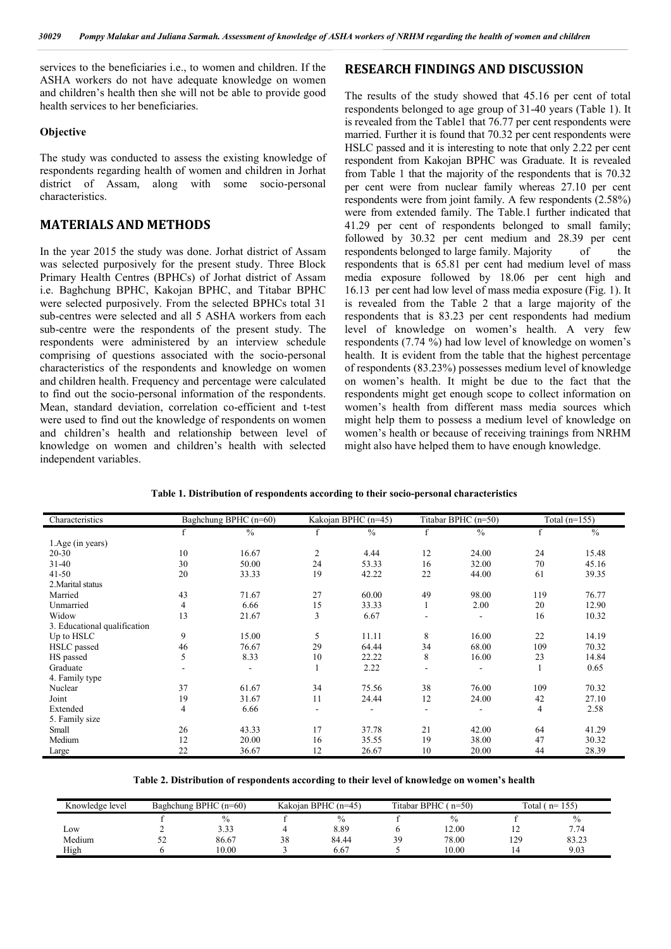services to the beneficiaries i.e., to women and children. If the ASHA workers do not have adequate knowledge on women and children's health then she will not be able to provide good health services to her beneficiaries.

## **Objective**

The study was conducted to assess the existing knowledge of respondents regarding health of women and children in Jorhat district of Assam, along with some socio-personal characteristics.

## **MATERIALS AND METHODS**

In the year 2015 the study was done. Jorhat district of Assam was selected purposively for the present study. Three Block Primary Health Centres (BPHCs) of Jorhat district of Assam i.e. Baghchung BPHC, Kakojan BPHC, and Titabar BPHC were selected purposively. From the selected BPHCs total 31 sub-centres were selected and all 5 ASHA workers from each sub-centre were the respondents of the present study. The respondents were administered by an interview schedule comprising of questions associated with the socio-personal characteristics of the respondents and knowledge on women and children health. Frequency and percentage were calculated to find out the socio-personal information of the respondents. Mean, standard deviation, correlation co-efficient and t-test were used to find out the knowledge of respondents on women and children's health and relationship between level of knowledge on women and children's health with selected independent variables.

## **RESEARCH FINDINGS AND DISCUSSION**

The results of the study showed that 45.16 per cent of total respondents belonged to age group of 31-40 years (Table 1). It is revealed from the Table1 that 76.77 per cent respondents were married. Further it is found that 70.32 per cent respondents were HSLC passed and it is interesting to note that only 2.22 per cent respondent from Kakojan BPHC was Graduate. It is revealed from Table 1 that the majority of the respondents that is 70.32 per cent were from nuclear family whereas 27.10 per cent respondents were from joint family. A few respondents (2.58%) were from extended family. The Table.1 further indicated that 41.29 per cent of respondents belonged to small family; followed by 30.32 per cent medium and 28.39 per cent respondents belonged to large family. Majority of the respondents that is 65.81 per cent had medium level of mass media exposure followed by 18.06 per cent high and 16.13 per cent had low level of mass media exposure (Fig. 1). It is revealed from the Table 2 that a large majority of the respondents that is 83.23 per cent respondents had medium level of knowledge on women's health. A very few respondents (7.74 %) had low level of knowledge on women's health. It is evident from the table that the highest percentage of respondents (83.23%) possesses medium level of knowledge on women's health. It might be due to the fact that the respondents might get enough scope to collect information on women's health from different mass media sources which might help them to possess a medium level of knowledge on women's health or because of receiving trainings from NRHM might also have helped them to have enough knowledge.

|  | Table 1. Distribution of respondents according to their socio-personal characteristics |  |  |
|--|----------------------------------------------------------------------------------------|--|--|
|  |                                                                                        |  |  |

| Characteristics              |    | Baghchung BPHC (n=60)    |    | Kakojan BPHC (n=45) |                          | Titabar BPHC (n=50)      |     | Total $(n=155)$ |
|------------------------------|----|--------------------------|----|---------------------|--------------------------|--------------------------|-----|-----------------|
|                              | f  | $\frac{0}{0}$            | f  | $\%$                | f                        | $\frac{0}{0}$            | f   | $\frac{0}{0}$   |
| 1.Age (in years)             |    |                          |    |                     |                          |                          |     |                 |
| $20 - 30$                    | 10 | 16.67                    | 2  | 4.44                | 12                       | 24.00                    | 24  | 15.48           |
| $31 - 40$                    | 30 | 50.00                    | 24 | 53.33               | 16                       | 32.00                    | 70  | 45.16           |
| $41 - 50$                    | 20 | 33.33                    | 19 | 42.22               | 22                       | 44.00                    | 61  | 39.35           |
| 2. Marital status            |    |                          |    |                     |                          |                          |     |                 |
| Married                      | 43 | 71.67                    | 27 | 60.00               | 49                       | 98.00                    | 119 | 76.77           |
| Unmarried                    | 4  | 6.66                     | 15 | 33.33               |                          | 2.00                     | 20  | 12.90           |
| Widow                        | 13 | 21.67                    | 3  | 6.67                | $\overline{\phantom{a}}$ | $\overline{\phantom{a}}$ | 16  | 10.32           |
| 3. Educational qualification |    |                          |    |                     |                          |                          |     |                 |
| Up to HSLC                   | 9  | 15.00                    | 5  | 11.11               | 8                        | 16.00                    | 22  | 14.19           |
| HSLC passed                  | 46 | 76.67                    | 29 | 64.44               | 34                       | 68.00                    | 109 | 70.32           |
| HS passed                    | 5  | 8.33                     | 10 | 22.22               | 8                        | 16.00                    | 23  | 14.84           |
| Graduate                     |    | $\overline{\phantom{a}}$ |    | 2.22                | $\blacksquare$           | $\blacksquare$           |     | 0.65            |
| 4. Family type               |    |                          |    |                     |                          |                          |     |                 |
| Nuclear                      | 37 | 61.67                    | 34 | 75.56               | 38                       | 76.00                    | 109 | 70.32           |
| Joint                        | 19 | 31.67                    | 11 | 24.44               | 12                       | 24.00                    | 42  | 27.10           |
| Extended                     | 4  | 6.66                     | ۰  | ٠                   | $\overline{\phantom{a}}$ | $\blacksquare$           | 4   | 2.58            |
| 5. Family size               |    |                          |    |                     |                          |                          |     |                 |
| Small                        | 26 | 43.33                    | 17 | 37.78               | 21                       | 42.00                    | 64  | 41.29           |
| Medium                       | 12 | 20.00                    | 16 | 35.55               | 19                       | 38.00                    | 47  | 30.32           |
| Large                        | 22 | 36.67                    | 12 | 26.67               | 10                       | 20.00                    | 44  | 28.39           |

**Table 2. Distribution of respondents according to their level of knowledge on women's health**

| Knowledge level  |     | Baghchung BPHC $(n=60)$ |    | Kakojan BPHC (n=45) | Titabar BPHC | $n=50$ | Total | $n = 155$     |
|------------------|-----|-------------------------|----|---------------------|--------------|--------|-------|---------------|
|                  |     | $\frac{0}{0}$           |    | $\%$                |              | $\%$   |       | $\frac{0}{0}$ |
| L <sub>0</sub> W |     | 3.33                    |    | 8.89                |              | 12.00  | - ⊥   | 7.74          |
| Medium           | ے ر | 86.67                   | 38 | 84.44               | 39           | 78.00  | 129   | 83.23         |
| High             |     | 10.00                   |    | 6.67                |              | 10.00  |       | 9.03          |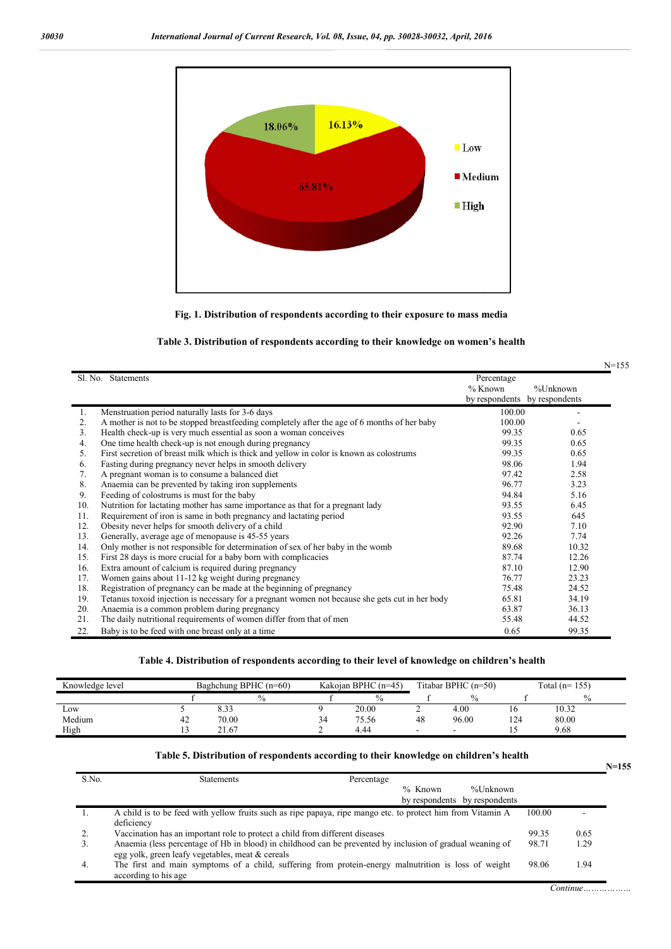



#### Table 3. Distribution of respondents according to their knowledge on women's health

|     | Sl. No. Statements                                                                              | Percentage<br>% Known<br>by respondents by respondents | %Unknown |
|-----|-------------------------------------------------------------------------------------------------|--------------------------------------------------------|----------|
| 1.  | Menstruation period naturally lasts for 3-6 days                                                | 100.00                                                 |          |
| 2.  | A mother is not to be stopped breastfeeding completely after the age of 6 months of her baby    | 100.00                                                 |          |
| 3.  | Health check-up is very much essential as soon a woman conceives                                | 99.35                                                  | 0.65     |
| 4.  | One time health check-up is not enough during pregnancy                                         | 99.35                                                  | 0.65     |
| 5.  | First secretion of breast milk which is thick and yellow in color is known as colostrums        | 99.35                                                  | 0.65     |
| 6.  | Fasting during pregnancy never helps in smooth delivery                                         | 98.06                                                  | 1.94     |
| 7.  | A pregnant woman is to consume a balanced diet                                                  | 97.42                                                  | 2.58     |
| 8.  | Anaemia can be prevented by taking iron supplements                                             | 96.77                                                  | 3.23     |
| 9.  | Feeding of colostrums is must for the baby                                                      | 94.84                                                  | 5.16     |
| 10. | Nutrition for lactating mother has same importance as that for a pregnant lady                  | 93.55                                                  | 6.45     |
| 11. | Requirement of iron is same in both pregnancy and lactating period                              | 93.55                                                  | 645      |
| 12. | Obesity never helps for smooth delivery of a child                                              | 92.90                                                  | 7.10     |
| 13. | Generally, average age of menopause is 45-55 years                                              | 92.26                                                  | 7.74     |
| 14. | Only mother is not responsible for determination of sex of her baby in the womb                 | 89.68                                                  | 10.32    |
| 15. | First 28 days is more crucial for a baby born with complicacies                                 | 87.74                                                  | 12.26    |
| 16. | Extra amount of calcium is required during pregnancy                                            | 87.10                                                  | 12.90    |
| 17. | Women gains about 11-12 kg weight during pregnancy                                              | 76.77                                                  | 23.23    |
| 18. | Registration of pregnancy can be made at the beginning of pregnancy                             | 75.48                                                  | 24.52    |
| 19. | Tetanus toxoid injection is necessary for a pregnant women not because she gets cut in her body | 65.81                                                  | 34.19    |
| 20. | Anaemia is a common problem during pregnancy                                                    | 63.87                                                  | 36.13    |
| 21. | The daily nutritional requirements of women differ from that of men                             | 55.48                                                  | 44.52    |
| 22. | Baby is to be feed with one breast only at a time                                               | 0.65                                                   | 99.35    |

#### Table 4. Distribution of respondents according to their level of knowledge on children's health

| Knowledge level |    | Baghchung BPHC $(n=60)$ | Kakojan BPHC (n=45) |                          | Titabar BPHC (n=50) |     | Total $(n=155)$ |
|-----------------|----|-------------------------|---------------------|--------------------------|---------------------|-----|-----------------|
|                 |    |                         | $\frac{0}{0}$       |                          | $\frac{0}{0}$       |     | $\%$            |
| LOW             |    | 8.33                    | 20.00               |                          | 4.00                | 10  | 10.32           |
| Medium          | 42 | 70.00                   | 75.56               | 48                       | 96.00               | 124 | 80.00           |
| High            |    | 21.67                   | 4.44                | $\overline{\phantom{0}}$ |                     |     | 9.68            |

# **Table 5. Distribution of respondents according to their knowledge on children's health their on N=155**

| S.No. | <b>Statements</b><br>Percentage                                                                                                                               |           |                                           |        |      |
|-------|---------------------------------------------------------------------------------------------------------------------------------------------------------------|-----------|-------------------------------------------|--------|------|
|       |                                                                                                                                                               | $%$ Known | %Unknown<br>by respondents by respondents |        |      |
| .,    | A child is to be feed with yellow fruits such as ripe papaya, ripe mango etc. to protect him from Vitamin A<br>deficiency                                     |           |                                           | 100.00 |      |
|       | Vaccination has an important role to protect a child from different diseases                                                                                  |           |                                           | 99.35  | 0.65 |
| 3.    | Anaemia (less percentage of Hb in blood) in childhood can be prevented by inclusion of gradual weaning of<br>egg yolk, green leafy vegetables, meat & cereals |           |                                           | 98.71  | 1.29 |
| 4.    | The first and main symptoms of a child, suffering from protein-energy malnutrition is loss of weight<br>according to his age.                                 |           |                                           | 98.06  | l.94 |

N=155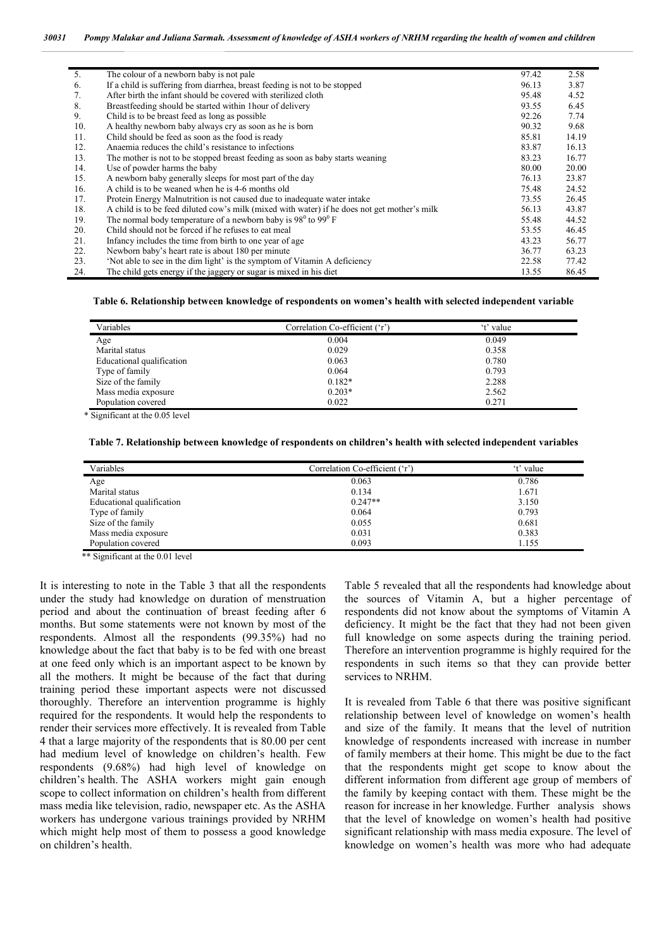| 5.  | The colour of a newborn baby is not pale                                                     | 97.42 | 2.58  |
|-----|----------------------------------------------------------------------------------------------|-------|-------|
| 6.  | If a child is suffering from diarrhea, breast feeding is not to be stopped                   | 96.13 | 3.87  |
| 7.  | After birth the infant should be covered with sterilized cloth                               | 95.48 | 4.52  |
| 8.  | Breastfeeding should be started within 1 hour of delivery                                    | 93.55 | 6.45  |
| 9.  | Child is to be breast feed as long as possible                                               | 92.26 | 7.74  |
| 10. | A healthy newborn baby always cry as soon as he is born                                      | 90.32 | 9.68  |
| 11. | Child should be feed as soon as the food is ready                                            | 85.81 | 14.19 |
| 12. | Anaemia reduces the child's resistance to infections                                         | 83.87 | 16.13 |
| 13. | The mother is not to be stopped breast feeding as soon as baby starts weaning                | 83.23 | 16.77 |
| 14. | Use of powder harms the baby                                                                 | 80.00 | 20.00 |
| 15. | A newborn baby generally sleeps for most part of the day                                     | 76.13 | 23.87 |
| 16. | A child is to be weaned when he is 4-6 months old                                            | 75.48 | 24.52 |
| 17. | Protein Energy Malnutrition is not caused due to inadequate water intake                     | 73.55 | 26.45 |
| 18. | A child is to be feed diluted cow's milk (mixed with water) if he does not get mother's milk | 56.13 | 43.87 |
| 19. | The normal body temperature of a newborn baby is $98^{\circ}$ to $99^{\circ}$ F              | 55.48 | 44.52 |
| 20. | Child should not be forced if he refuses to eat meal                                         | 53.55 | 46.45 |
| 21. | Infancy includes the time from birth to one year of age.                                     | 43.23 | 56.77 |
| 22. | Newborn baby's heart rate is about 180 per minute                                            | 36.77 | 63.23 |
| 23. | 'Not able to see in the dim light' is the symptom of Vitamin A deficiency                    | 22.58 | 77.42 |
| 24. | The child gets energy if the jaggery or sugar is mixed in his diet                           | 13.55 | 86.45 |

#### **Table 6. Relationship between knowledge of respondents on women's health with selected independent variable**

| Variables                 | Correlation Co-efficient ('r') | 't' value |
|---------------------------|--------------------------------|-----------|
| Age                       | 0.004                          | 0.049     |
| Marital status            | 0.029                          | 0.358     |
| Educational qualification | 0.063                          | 0.780     |
| Type of family            | 0.064                          | 0.793     |
| Size of the family        | $0.182*$                       | 2.288     |
| Mass media exposure       | $0.203*$                       | 2.562     |
| Population covered        | 0.022                          | 0.271     |

\* Significant at the 0.05 level

**Table 7. Relationship between knowledge of respondents on children's health with selected independent variables**

| Variables                 | Correlation Co-efficient ('r') | 't' value |
|---------------------------|--------------------------------|-----------|
| Age                       | 0.063                          | 0.786     |
| Marital status            | 0.134                          | 1.671     |
| Educational qualification | $0.247**$                      | 3.150     |
| Type of family            | 0.064                          | 0.793     |
| Size of the family        | 0.055                          | 0.681     |
| Mass media exposure       | 0.031                          | 0.383     |
| Population covered        | 0.093                          | 1.155     |

\*\* Significant at the 0.01 level

It is interesting to note in the Table 3 that all the respondents under the study had knowledge on duration of menstruation period and about the continuation of breast feeding after 6 months. But some statements were not known by most of the respondents. Almost all the respondents (99.35%) had no knowledge about the fact that baby is to be fed with one breast at one feed only which is an important aspect to be known by all the mothers. It might be because of the fact that during training period these important aspects were not discussed thoroughly. Therefore an intervention programme is highly required for the respondents. It would help the respondents to render their services more effectively. It is revealed from Table 4 that a large majority of the respondents that is 80.00 per cent had medium level of knowledge on children's health. Few respondents (9.68%) had high level of knowledge on children's health. The ASHA workers might gain enough scope to collect information on children's health from different mass media like television, radio, newspaper etc. As the ASHA workers has undergone various trainings provided by NRHM which might help most of them to possess a good knowledge on children's health.

Table 5 revealed that all the respondents had knowledge about the sources of Vitamin A, but a higher percentage of respondents did not know about the symptoms of Vitamin A deficiency. It might be the fact that they had not been given full knowledge on some aspects during the training period. Therefore an intervention programme is highly required for the respondents in such items so that they can provide better services to NRHM.

It is revealed from Table 6 that there was positive significant relationship between level of knowledge on women's health and size of the family. It means that the level of nutrition knowledge of respondents increased with increase in number of family members at their home. This might be due to the fact that the respondents might get scope to know about the different information from different age group of members of the family by keeping contact with them. These might be the reason for increase in her knowledge. Further analysis shows that the level of knowledge on women's health had positive significant relationship with mass media exposure. The level of knowledge on women's health was more who had adequate